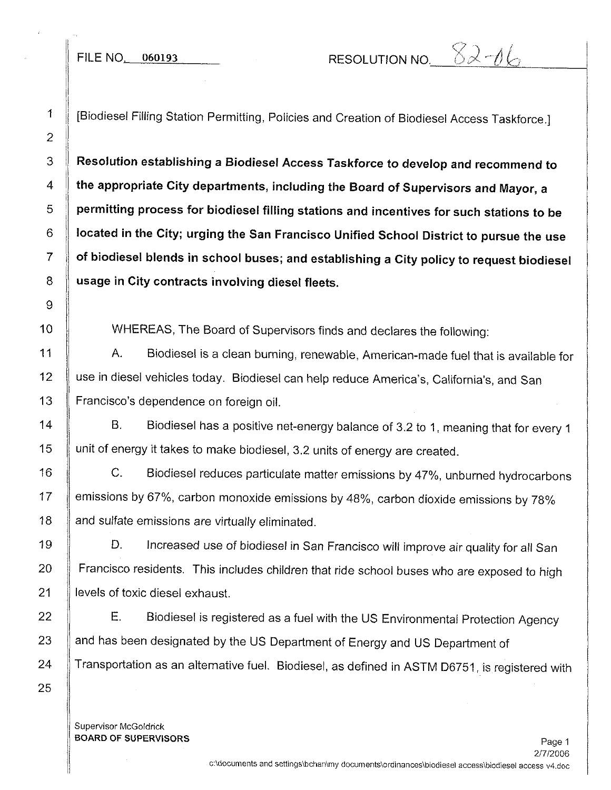l.

 $\mathbf{E}$ II Ii

Ii l.

i!

!

FILE NO. 060193 RESOLUTION NO.  $82-06$ 

[Biodiesel Filling Station Permitting, Policies and Creation of Biodiesel Access Taskforce.]

**Resolution establishing a Biodiesel Access Taskforce to develop and recommend to the appropriate City departments, including the Board of Supervisors and Mayor, a permitting process for biodiesel filling stations and incentives for such stations to be located in the City; urging the San Francisco Unified School District to pursue the use of biodiesel blends in school buses; and establishing a City policy to request biodiesel usage in City contracts involving diesel fleets.**

WHEREAS, The Board of Supervisors finds and declares the following:

A. Biodiesel is a clean burning, renewable, American-made fuel that is available for use in diesel vehicles today. Biodiesel can help reduce America's, California's, and San Francisco's dependence on foreign oil.

B. Biodiesel has a positive net-energy balance of 3.2 to 1, meaning that for every 1 unit of energy it takes to make biodiesel, 3.2 units of energy are created.

C. Biodiesel reduces particulate matter emissions by 47%, unburned hydrocarbons emissions by 67%, carbon monoxide emissions by 48%, carbon dioxide emissions by 78% and sulfate emissions are virtually eliminated.

D. Increased use of biodiesel in San Francisco will improve air quality for all San Francisco residents. This includes children that ride school buses who are exposed to high levels of toxic diesel exhaust.

E. Biodiesel is registered as a fuel with the US Environmental Protection Agency and has been designated by the US Department of Energy and US Department of Transportation as an alternative fuel. Biodiesel, as defined in ASTM 06751, is registered with

Supervisor McGoldrick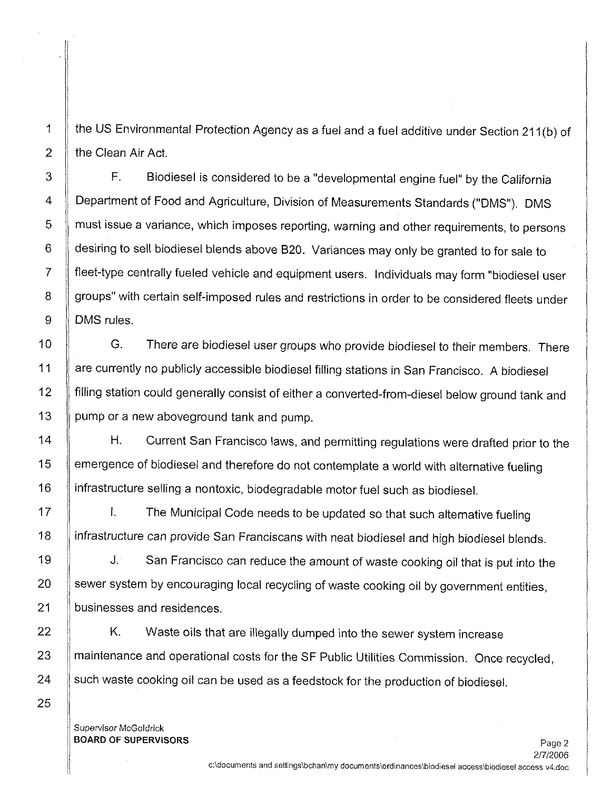the US Environmental Protection Agency as a fuel and a fuel additive under Section 211 (b) of the Clean Air Act.

F. Biodiesel is considered to be a "developmental engine fuel" by the California Department of Food and Agriculture, Division of Measurements Standards ("OMS"). OMS 5 I must issue a variance, which imposes reporting, warning and other requirements, to persons 6 desiring to sell biodiesel blends above 820. Variances may only be granted to for sale to 7 fleet-type centrally fueled vehicle and equipment users. Individuals may form "biodiesel user 8 | groups" with certain self-imposed rules and restrictions in order to be considered fleets under 9 DMS rules.

10 **G.** There are biodiesel user groups who provide biodiesel to their members. There 11 **Alter 2 are currently no publicly accessible biodiesel filling stations in San Francisco.** A biodiesel 12 | filling station could generally consist of either a converted-from-diesel below ground tank and 13 pump or a new aboveground tank and pump.

14 H. Current San Francisco laws, and permitting regulations were drafted prior to the 15 | emergence of biodiesel and therefore do not contemplate a world with alternative fueling 16 | infrastructure selling a nontoxic, biodegradable motor fuel such as biodiesel.

I. The Municipal Code needs to be updated so that such alternative fueling infrastructure can provide San Franciscans with neat biodiesel and high biodiesel blends.

J. San Francisco can reduce the amount of waste cooking oil that is put into the sewer system by encouraging local recycling of waste cooking oil by government entities, businesses and residences.

K. Waste oils that are illegally dumped into the sewer system increase maintenance and operational costs for the SF Public Utilities Commission. Once recycled, such waste cooking oil can be used as a feedstock for the production of biodiesel.

Supervisor McGoldrick BOARD OF SUPERVISORS

! \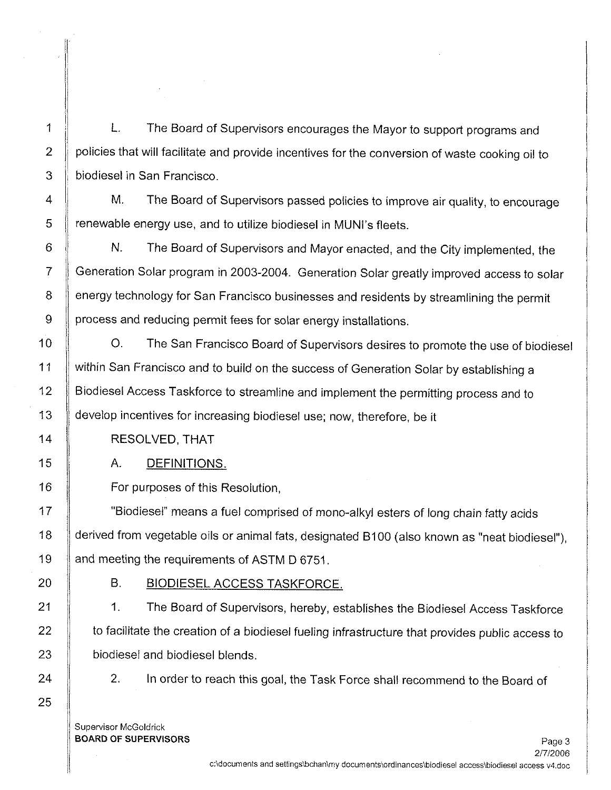$\mathsf{I}\mathsf{I}$ 

I

I I

ll.

L. The Board of Supervisors encourages the Mayor to support programs and policies that will facilitate and provide incentives for the conversion of waste cooking oil to biodiesel in San Francisco.

M. The Board of Supervisors passed policies to improve air quality, to encourage renewable energy use, and to utilize blodiesel in MUNl's fleets.

N. The Board of Supervisors and Mayor enacted, and the City implemented, the Generation Solar program in 2003-2004. Generation Solar greatly improved access to solar energy technology for San Francisco businesses and residents by streamlining the permit process and reducing permit fees for solar energy installations.

O. The San Francisco Board of Supervisors desires to promote the use of biodiesel within San Francisco and to build on the success of Generation Solar by establishing a Biodiesel Access Taskforce to streamline and implement the permitting process and to develop incentives for increasing biodiesel use; now, therefore, be it

RESOLVED,THAT

A. DEFINITIONS.

For purposes of this Resolution,

"Biodiesel" means a fuel comprised of mono-alkyl esters of long chain fatty acids derived from vegetable oils or animal fats, designated B100 (also known as "neat biodiesel"), and meeting the requirements of ASTM D 6751.

B. BIODIESEL ACCESS TASKFORCE.

1. The Board of Supervisors, hereby, establishes the Biodiesel Access Taskforce to facilitate the creation of a biodiesel fueling infrastructure that provides public access to biodiesel and biodiesel blends.

2. In order to reach this goal, the Task Force shall recommend to the Board of

Supervisor McGoldrick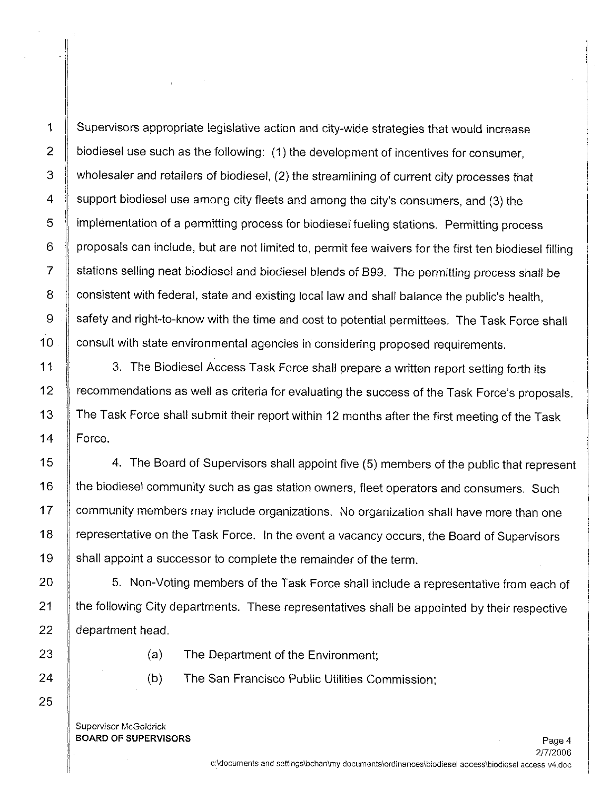1 | Supervisors appropriate legislative action and city-wide strategies that would increase 2  $\parallel$  biodiesel use such as the following: (1) the development of incentives for consumer, 3  $\parallel$  wholesaler and retailers of biodiesel, (2) the streamlining of current city processes that 4 Support biodiesel use among city fleets and among the city's consumers, and (3) the 5 | implementation of a permitting process for biodiesel fueling stations. Permitting process  $6 \parallel$  proposals can include, but are not limited to, permit fee waivers for the first ten biodiesel filling 7 Stations selling neat biodiesel and biodiesel blends of B99. The permitting process shall be 8 Consistent with federal, state and existing local law and shall balance the public's health, 9 safety and right-to-know with the time and cost to potential permittees. The Task Force shall 10 **consult with state environmental agencies in considering proposed requirements.** 

11  $\parallel$  3. The Biodiesel Access Task Force shall prepare a written report setting forth its 12 | recommendations as well as criteria for evaluating the success of the Task Force's proposals. 13 The Task Force shall submit their report within 12 months after the first meeting of the Task 14 | Force.

15 **4.** The Board of Supervisors shall appoint five (5) members of the public that represent 16 If the biodiesel community such as gas station owners, fleet operators and consumers. Such 17 | community members may include organizations. No organization shall have more than one 18 | representative on the Task Force. In the event a vacancy occurs, the Board of Supervisors 19 | shall appoint a successor to complete the remainder of the term.

20 State State Mon-Voting members of the Task Force shall include a representative from each of 21 If the following City departments. These representatives shall be appointed by their respective  $22$  | department head.

- 23 **Julie 23** (a) The Department of the Environment;
- 24 **(b)** The San Francisco Public Utilities Commission;

Supervisor McGoldrick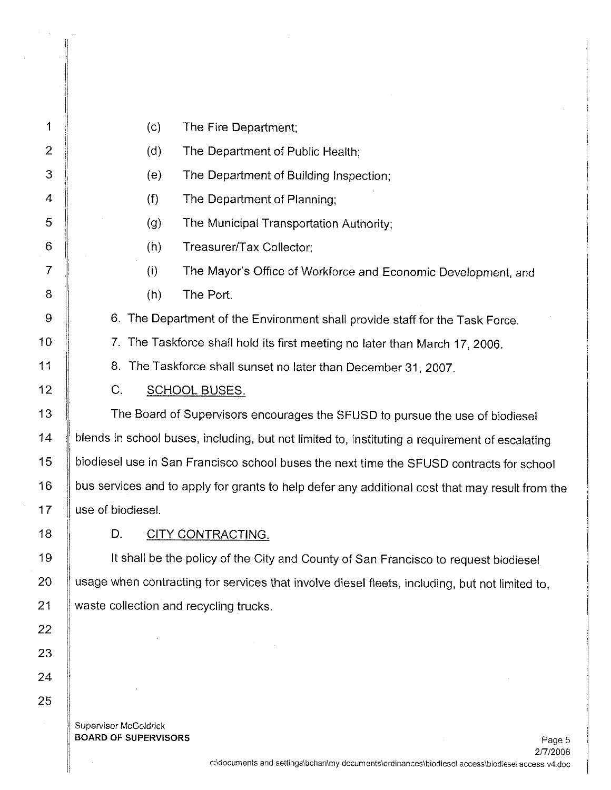| 1              | (c)<br>The Fire Department;                                                                     |
|----------------|-------------------------------------------------------------------------------------------------|
| $\overline{2}$ | (d)<br>The Department of Public Health;                                                         |
| 3              | (e)<br>The Department of Building Inspection;                                                   |
| 4              | (f)<br>The Department of Planning;                                                              |
| 5              | (g)<br>The Municipal Transportation Authority;                                                  |
| 6              | (h)<br>Treasurer/Tax Collector;                                                                 |
| $\overline{7}$ | (i)<br>The Mayor's Office of Workforce and Economic Development, and                            |
| 8              | (h)<br>The Port.                                                                                |
| 9              | 6. The Department of the Environment shall provide staff for the Task Force.                    |
| 10             | 7.<br>The Taskforce shall hold its first meeting no later than March 17, 2006.                  |
| 11             | 8. The Taskforce shall sunset no later than December 31, 2007.                                  |
| 12             | C.<br><b>SCHOOL BUSES.</b>                                                                      |
| 13             | The Board of Supervisors encourages the SFUSD to pursue the use of biodiesel                    |
| 14             | blends in school buses, including, but not limited to, instituting a requirement of escalating  |
| 15             | biodiesel use in San Francisco school buses the next time the SFUSD contracts for school        |
| 16             | bus services and to apply for grants to help defer any additional cost that may result from the |
| 17             | use of biodiesel.                                                                               |
| 18             | D.<br><b>CITY CONTRACTING.</b>                                                                  |
| 19             | It shall be the policy of the City and County of San Francisco to request biodiesel             |
| 20             | usage when contracting for services that involve diesel fleets, including, but not limited to,  |
| 21             | waste collection and recycling trucks.                                                          |
| 22             |                                                                                                 |
| 23             |                                                                                                 |
| 24             |                                                                                                 |

Supervisor McGoldrick

 $\mathcal{L}^{\mathcal{L}}$ 

25

 $\mathcal{C}=\mathcal{C}_{\mathbf{X}}$  .

 $\alpha$  $\left\{\right\}$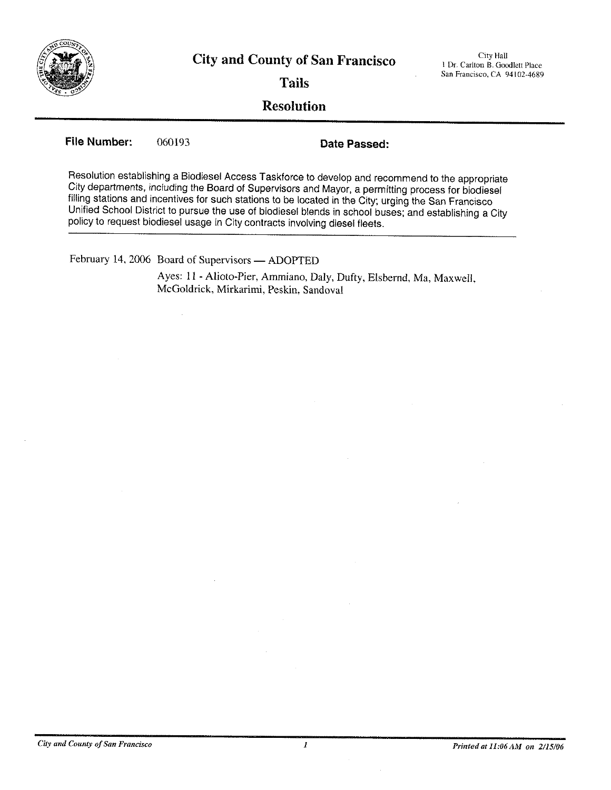

City Hall I Dr. Carlton B. Goodlett Place San Francisco, CA 94102-4689

**Tails**

## **Resolution**

**File Number:** 060193 **Date Passed:**

Resolution establishing a Blodiesel Access Taskforce to develop and recommend to the appropriate City departments, including the Board of Supervisors and Mayor, a permitting process for biodiesel filling stations and incentives for such stations to be located in the City; urging the San Francisco Unified School District to pursue the use of biodiese! blends in school buses; and establishing a City policy to request biodiesel usage in City contracts involving diesel fleets.

February 14, 2006 Board of Supervisors - ADOPTED

Ayes: 11 - Alioto-Pier, Arnrniano, Daly, Dufty, Elsbemd, Ma, Maxwell, McGoldrick, Mirkarimi, Peskin, Sandoval